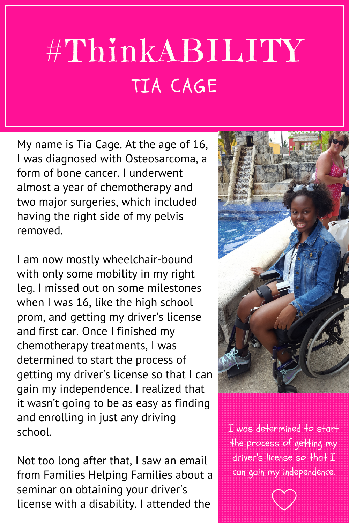## #ThinkABILITY TIA CAGE

My name is Tia Cage. At the age of 16, I was diagnosed with Osteosarcoma, a form of bone cancer. I underwent almost a year of chemotherapy and two major surgeries, which included having the right side of my pelvis removed.

I am now mostly wheelchair-bound with only some mobility in my right leg. I missed out on some milestones when I was 16, like the high school prom, and getting my driver's license and first car. Once I finished my chemotherapy treatments, I was determined to start the process of getting my driver's license so that I can gain my independence. I realized that it wasn't going to be as easy as finding and enrolling in just any driving school.

Not too long after that, I saw an email from Families Helping Families about a seminar on obtaining your driver's license with a disability. I attended the



I was determined to start the process of getting my driver's license so that I can gain my independence.